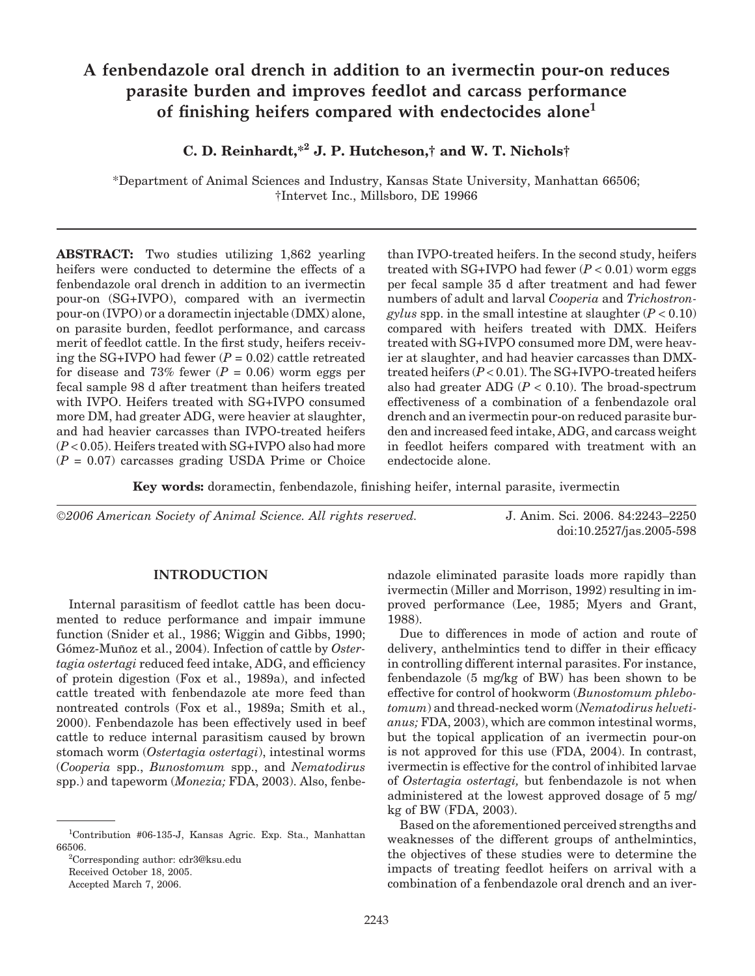# **A fenbendazole oral drench in addition to an ivermectin pour-on reduces parasite burden and improves feedlot and carcass performance of finishing heifers compared with endectocides alone1**

# **C. D. Reinhardt,\*2 J. P. Hutcheson,† and W. T. Nichols†**

\*Department of Animal Sciences and Industry, Kansas State University, Manhattan 66506; †Intervet Inc., Millsboro, DE 19966

**ABSTRACT:** Two studies utilizing 1,862 yearling heifers were conducted to determine the effects of a fenbendazole oral drench in addition to an ivermectin pour-on (SG+IVPO), compared with an ivermectin pour-on (IVPO) or a doramectin injectable (DMX) alone, on parasite burden, feedlot performance, and carcass merit of feedlot cattle. In the first study, heifers receiving the SG+IVPO had fewer  $(P = 0.02)$  cattle retreated for disease and 73% fewer  $(P = 0.06)$  worm eggs per fecal sample 98 d after treatment than heifers treated with IVPO. Heifers treated with SG+IVPO consumed more DM, had greater ADG, were heavier at slaughter, and had heavier carcasses than IVPO-treated heifers (*P* < 0.05). Heifers treated with SG+IVPO also had more  $(P = 0.07)$  carcasses grading USDA Prime or Choice than IVPO-treated heifers. In the second study, heifers treated with  $SG+IVPO$  had fewer  $(P < 0.01)$  worm eggs per fecal sample 35 d after treatment and had fewer numbers of adult and larval *Cooperia* and *Trichostrongylus* spp. in the small intestine at slaughter  $(P < 0.10)$ compared with heifers treated with DMX. Heifers treated with SG+IVPO consumed more DM, were heavier at slaughter, and had heavier carcasses than DMXtreated heifers (*P* < 0.01). The SG+IVPO-treated heifers also had greater ADG  $(P < 0.10)$ . The broad-spectrum effectiveness of a combination of a fenbendazole oral drench and an ivermectin pour-on reduced parasite burden and increased feed intake, ADG, and carcass weight in feedlot heifers compared with treatment with an endectocide alone.

**Key words:** doramectin, fenbendazole, finishing heifer, internal parasite, ivermectin

©*2006 American Society of Animal Science. All rights reserved.* J. Anim. Sci. 2006. 84:2243–2250

doi:10.2527/jas.2005-598

#### **INTRODUCTION**

Internal parasitism of feedlot cattle has been documented to reduce performance and impair immune function (Snider et al., 1986; Wiggin and Gibbs, 1990; Gómez-Muñoz et al., 2004). Infection of cattle by Oster*tagia ostertagi* reduced feed intake, ADG, and efficiency of protein digestion (Fox et al., 1989a), and infected cattle treated with fenbendazole ate more feed than nontreated controls (Fox et al., 1989a; Smith et al., 2000). Fenbendazole has been effectively used in beef cattle to reduce internal parasitism caused by brown stomach worm (*Ostertagia ostertagi*), intestinal worms (*Cooperia* spp., *Bunostomum* spp., and *Nematodirus* spp.) and tapeworm (*Monezia;* FDA, 2003). Also, fenbe-

2 Corresponding author: cdr3@ksu.edu

Received October 18, 2005.

Accepted March 7, 2006.

ndazole eliminated parasite loads more rapidly than ivermectin (Miller and Morrison, 1992) resulting in improved performance (Lee, 1985; Myers and Grant, 1988).

Due to differences in mode of action and route of delivery, anthelmintics tend to differ in their efficacy in controlling different internal parasites. For instance, fenbendazole (5 mg/kg of BW) has been shown to be effective for control of hookworm (*Bunostomum phlebotomum*) and thread-necked worm (*Nematodirus helvetianus;* FDA, 2003), which are common intestinal worms, but the topical application of an ivermectin pour-on is not approved for this use (FDA, 2004). In contrast, ivermectin is effective for the control of inhibited larvae of *Ostertagia ostertagi,* but fenbendazole is not when administered at the lowest approved dosage of 5 mg/ kg of BW (FDA, 2003).

Based on the aforementioned perceived strengths and weaknesses of the different groups of anthelmintics, the objectives of these studies were to determine the impacts of treating feedlot heifers on arrival with a combination of a fenbendazole oral drench and an iver-

<sup>1</sup> Contribution #06-135-J, Kansas Agric. Exp. Sta., Manhattan 66506.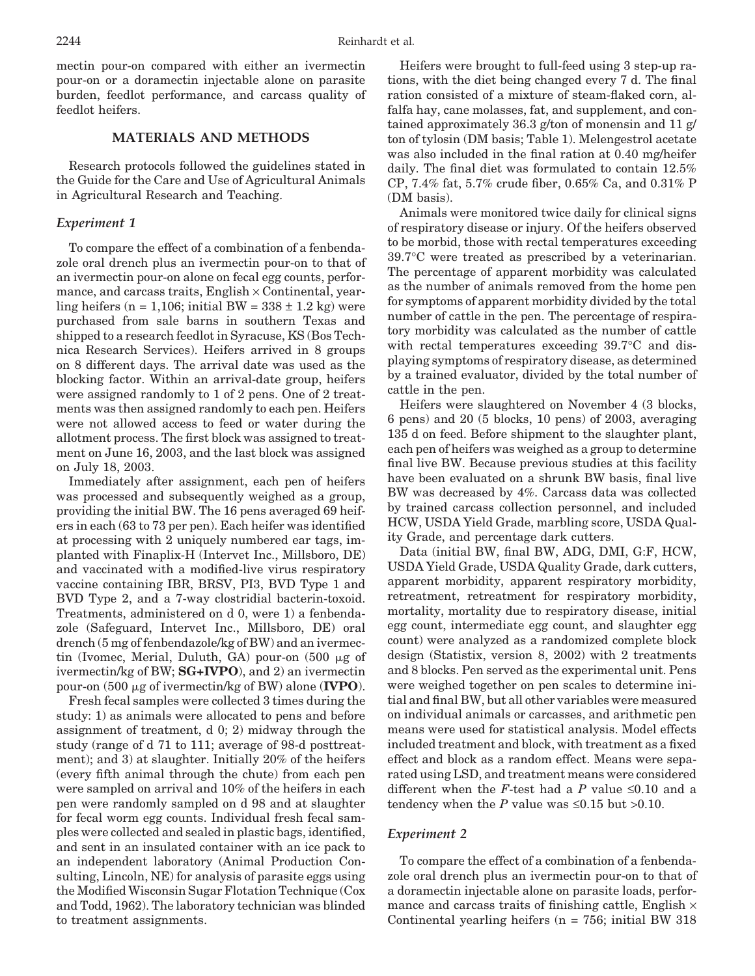mectin pour-on compared with either an ivermectin pour-on or a doramectin injectable alone on parasite burden, feedlot performance, and carcass quality of feedlot heifers.

### **MATERIALS AND METHODS**

Research protocols followed the guidelines stated in the Guide for the Care and Use of Agricultural Animals in Agricultural Research and Teaching.

#### *Experiment 1*

To compare the effect of a combination of a fenbendazole oral drench plus an ivermectin pour-on to that of an ivermectin pour-on alone on fecal egg counts, performance, and carcass traits,  $English \times Continental$ , yearling heifers (n = 1,106; initial BW =  $338 \pm 1.2$  kg) were purchased from sale barns in southern Texas and shipped to a research feedlot in Syracuse, KS (Bos Technica Research Services). Heifers arrived in 8 groups on 8 different days. The arrival date was used as the blocking factor. Within an arrival-date group, heifers were assigned randomly to 1 of 2 pens. One of 2 treatments was then assigned randomly to each pen. Heifers were not allowed access to feed or water during the allotment process. The first block was assigned to treatment on June 16, 2003, and the last block was assigned on July 18, 2003.

Immediately after assignment, each pen of heifers was processed and subsequently weighed as a group, providing the initial BW. The 16 pens averaged 69 heifers in each (63 to 73 per pen). Each heifer was identified at processing with 2 uniquely numbered ear tags, implanted with Finaplix-H (Intervet Inc., Millsboro, DE) and vaccinated with a modified-live virus respiratory vaccine containing IBR, BRSV, PI3, BVD Type 1 and BVD Type 2, and a 7-way clostridial bacterin-toxoid. Treatments, administered on d 0, were 1) a fenbendazole (Safeguard, Intervet Inc., Millsboro, DE) oral drench (5 mg of fenbendazole/kg of BW) and an ivermectin (Ivomec, Merial, Duluth, GA) pour-on  $(500 \mu g)$  of ivermectin/kg of BW; **SG+IVPO**), and 2) an ivermectin pour-on (500 g of ivermectin/kg of BW) alone (**IVPO**).

Fresh fecal samples were collected 3 times during the study: 1) as animals were allocated to pens and before assignment of treatment, d 0; 2) midway through the study (range of d 71 to 111; average of 98-d posttreatment); and 3) at slaughter. Initially 20% of the heifers (every fifth animal through the chute) from each pen were sampled on arrival and 10% of the heifers in each pen were randomly sampled on d 98 and at slaughter for fecal worm egg counts. Individual fresh fecal samples were collected and sealed in plastic bags, identified, and sent in an insulated container with an ice pack to an independent laboratory (Animal Production Consulting, Lincoln, NE) for analysis of parasite eggs using the Modified Wisconsin Sugar Flotation Technique (Cox and Todd, 1962). The laboratory technician was blinded to treatment assignments.

Heifers were brought to full-feed using 3 step-up rations, with the diet being changed every 7 d. The final ration consisted of a mixture of steam-flaked corn, alfalfa hay, cane molasses, fat, and supplement, and contained approximately 36.3 g/ton of monensin and 11 g/ ton of tylosin (DM basis; Table 1). Melengestrol acetate was also included in the final ration at 0.40 mg/heifer daily. The final diet was formulated to contain 12.5% CP, 7.4% fat, 5.7% crude fiber, 0.65% Ca, and 0.31% P (DM basis).

Animals were monitored twice daily for clinical signs of respiratory disease or injury. Of the heifers observed to be morbid, those with rectal temperatures exceeding 39.7°C were treated as prescribed by a veterinarian. The percentage of apparent morbidity was calculated as the number of animals removed from the home pen for symptoms of apparent morbidity divided by the total number of cattle in the pen. The percentage of respiratory morbidity was calculated as the number of cattle with rectal temperatures exceeding 39.7°C and displaying symptoms of respiratory disease, as determined by a trained evaluator, divided by the total number of cattle in the pen.

Heifers were slaughtered on November 4 (3 blocks, 6 pens) and 20 (5 blocks, 10 pens) of 2003, averaging 135 d on feed. Before shipment to the slaughter plant, each pen of heifers was weighed as a group to determine final live BW. Because previous studies at this facility have been evaluated on a shrunk BW basis, final live BW was decreased by 4%. Carcass data was collected by trained carcass collection personnel, and included HCW, USDA Yield Grade, marbling score, USDA Quality Grade, and percentage dark cutters.

Data (initial BW, final BW, ADG, DMI, G:F, HCW, USDA Yield Grade, USDA Quality Grade, dark cutters, apparent morbidity, apparent respiratory morbidity, retreatment, retreatment for respiratory morbidity, mortality, mortality due to respiratory disease, initial egg count, intermediate egg count, and slaughter egg count) were analyzed as a randomized complete block design (Statistix, version 8, 2002) with 2 treatments and 8 blocks. Pen served as the experimental unit. Pens were weighed together on pen scales to determine initial and final BW, but all other variables were measured on individual animals or carcasses, and arithmetic pen means were used for statistical analysis. Model effects included treatment and block, with treatment as a fixed effect and block as a random effect. Means were separated using LSD, and treatment means were considered different when the *F*-test had a *P* value  $\leq 0.10$  and a tendency when the *P* value was  $\leq 0.15$  but  $>0.10$ .

#### *Experiment 2*

To compare the effect of a combination of a fenbendazole oral drench plus an ivermectin pour-on to that of a doramectin injectable alone on parasite loads, performance and carcass traits of finishing cattle, English  $\times$ Continental yearling heifers  $(n = 756; \text{ initial BW } 318)$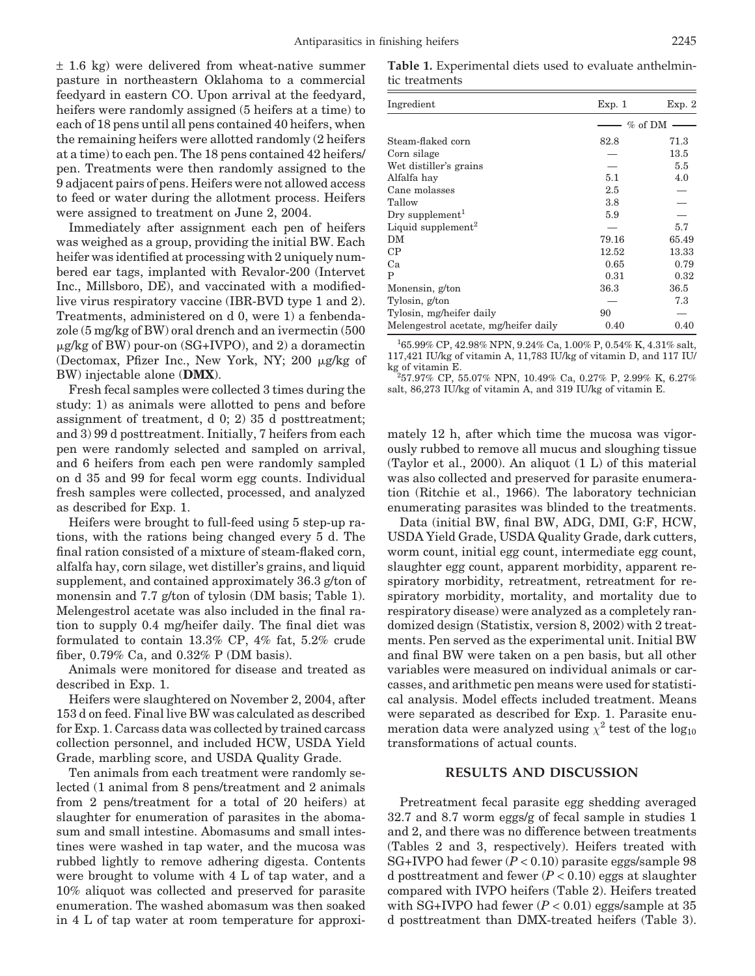± 1.6 kg) were delivered from wheat-native summer pasture in northeastern Oklahoma to a commercial feedyard in eastern CO. Upon arrival at the feedyard, heifers were randomly assigned (5 heifers at a time) to each of 18 pens until all pens contained 40 heifers, when the remaining heifers were allotted randomly (2 heifers at a time) to each pen. The 18 pens contained 42 heifers/ pen. Treatments were then randomly assigned to the 9 adjacent pairs of pens. Heifers were not allowed access to feed or water during the allotment process. Heifers were assigned to treatment on June 2, 2004.

Immediately after assignment each pen of heifers was weighed as a group, providing the initial BW. Each heifer was identified at processing with 2 uniquely numbered ear tags, implanted with Revalor-200 (Intervet Inc., Millsboro, DE), and vaccinated with a modifiedlive virus respiratory vaccine (IBR-BVD type 1 and 2). Treatments, administered on d 0, were 1) a fenbendazole (5 mg/kg of BW) oral drench and an ivermectin (500 g/kg of BW) pour-on (SG+IVPO), and 2) a doramectin (Dectomax, Pfizer Inc., New York, NY; 200  $\mu$ g/kg of BW) injectable alone (**DMX**).

Fresh fecal samples were collected 3 times during the study: 1) as animals were allotted to pens and before assignment of treatment, d 0; 2) 35 d posttreatment; and 3) 99 d posttreatment. Initially, 7 heifers from each pen were randomly selected and sampled on arrival, and 6 heifers from each pen were randomly sampled on d 35 and 99 for fecal worm egg counts. Individual fresh samples were collected, processed, and analyzed as described for Exp. 1.

Heifers were brought to full-feed using 5 step-up rations, with the rations being changed every 5 d. The final ration consisted of a mixture of steam-flaked corn, alfalfa hay, corn silage, wet distiller's grains, and liquid supplement, and contained approximately 36.3 g/ton of monensin and 7.7 g/ton of tylosin (DM basis; Table 1). Melengestrol acetate was also included in the final ration to supply 0.4 mg/heifer daily. The final diet was formulated to contain 13.3% CP, 4% fat, 5.2% crude fiber, 0.79% Ca, and 0.32% P (DM basis).

Animals were monitored for disease and treated as described in Exp. 1.

Heifers were slaughtered on November 2, 2004, after 153 d on feed. Final live BW was calculated as described for Exp. 1. Carcass data was collected by trained carcass collection personnel, and included HCW, USDA Yield Grade, marbling score, and USDA Quality Grade.

Ten animals from each treatment were randomly selected (1 animal from 8 pens/treatment and 2 animals from 2 pens/treatment for a total of 20 heifers) at slaughter for enumeration of parasites in the abomasum and small intestine. Abomasums and small intestines were washed in tap water, and the mucosa was rubbed lightly to remove adhering digesta. Contents were brought to volume with 4 L of tap water, and a 10% aliquot was collected and preserved for parasite enumeration. The washed abomasum was then soaked in 4 L of tap water at room temperature for approxi-

**Table 1.** Experimental diets used to evaluate anthelmintic treatments

| Ingredient                            | Exp. 1  | Exp. 2   |
|---------------------------------------|---------|----------|
|                                       | % of DM |          |
| Steam-flaked corn                     | 82.8    | 71.3     |
| Corn silage                           |         | $13.5\,$ |
| Wet distiller's grains                |         | 5.5      |
| Alfalfa hav                           | 5.1     | 4.0      |
| Cane molasses                         | 2.5     |          |
| Tallow                                | 3.8     |          |
| Dry supplement <sup>1</sup>           | 5.9     |          |
| Liquid supplement <sup>2</sup>        |         | 5.7      |
| DМ                                    | 79.16   | 65.49    |
| $\rm CP$                              | 12.52   | 13.33    |
| Ca                                    | 0.65    | 0.79     |
| P                                     | 0.31    | 0.32     |
| Monensin, g/ton                       | 36.3    | 36.5     |
| Tylosin, g/ton                        |         | 7.3      |
| Tylosin, mg/heifer daily              | 90      |          |
| Melengestrol acetate, mg/heifer daily | 0.40    | 0.40     |

1 65.99% CP, 42.98% NPN, 9.24% Ca, 1.00% P, 0.54% K, 4.31% salt, 117,421 IU/kg of vitamin A, 11,783 IU/kg of vitamin D, and 117 IU/ kg of vitamin E.

57.97% CP, 55.07% NPN, 10.49% Ca, 0.27% P, 2.99% K, 6.27% salt, 86,273 IU/kg of vitamin A, and 319 IU/kg of vitamin E.

mately 12 h, after which time the mucosa was vigorously rubbed to remove all mucus and sloughing tissue (Taylor et al., 2000). An aliquot (1 L) of this material was also collected and preserved for parasite enumeration (Ritchie et al., 1966). The laboratory technician enumerating parasites was blinded to the treatments.

Data (initial BW, final BW, ADG, DMI, G:F, HCW, USDA Yield Grade, USDA Quality Grade, dark cutters, worm count, initial egg count, intermediate egg count, slaughter egg count, apparent morbidity, apparent respiratory morbidity, retreatment, retreatment for respiratory morbidity, mortality, and mortality due to respiratory disease) were analyzed as a completely randomized design (Statistix, version 8, 2002) with 2 treatments. Pen served as the experimental unit. Initial BW and final BW were taken on a pen basis, but all other variables were measured on individual animals or carcasses, and arithmetic pen means were used for statistical analysis. Model effects included treatment. Means were separated as described for Exp. 1. Parasite enumeration data were analyzed using  $\chi^2$  test of the log<sub>10</sub> transformations of actual counts.

## **RESULTS AND DISCUSSION**

Pretreatment fecal parasite egg shedding averaged 32.7 and 8.7 worm eggs/g of fecal sample in studies 1 and 2, and there was no difference between treatments (Tables 2 and 3, respectively). Heifers treated with SG+IVPO had fewer (*P* < 0.10) parasite eggs/sample 98 d posttreatment and fewer  $(P < 0.10)$  eggs at slaughter compared with IVPO heifers (Table 2). Heifers treated with SG+IVPO had fewer  $(P < 0.01)$  eggs/sample at 35 d posttreatment than DMX-treated heifers (Table 3).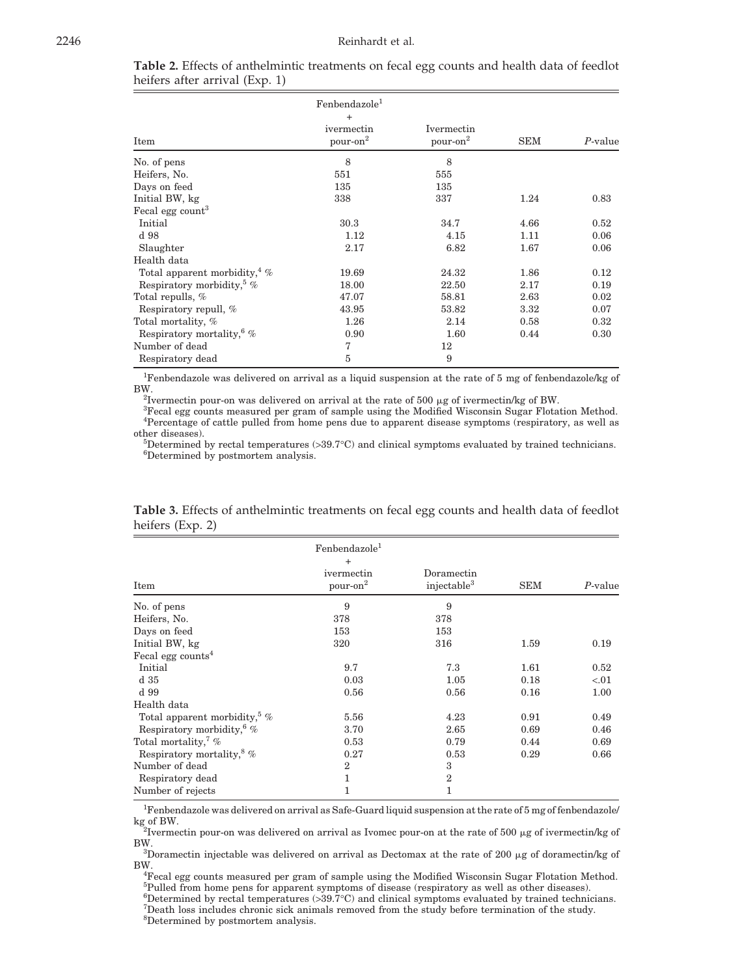|                                        | Fenbendazole <sup>1</sup>          |                                    |            |            |
|----------------------------------------|------------------------------------|------------------------------------|------------|------------|
| Item                                   | $^{+}$<br>ivermectin<br>$pour-on2$ | Ivermectin<br>pour-on <sup>2</sup> | <b>SEM</b> | $P$ -value |
| No. of pens                            | 8                                  | 8                                  |            |            |
| Heifers, No.                           | 551                                | 555                                |            |            |
| Days on feed                           | 135                                | 135                                |            |            |
| Initial BW, kg                         | 338                                | 337                                | 1.24       | 0.83       |
| Fecal egg count <sup>3</sup>           |                                    |                                    |            |            |
| Initial                                | 30.3                               | 34.7                               | 4.66       | 0.52       |
| d 98                                   | 1.12                               | 4.15                               | 1.11       | 0.06       |
| Slaughter                              | 2.17                               | 6.82                               | 1.67       | 0.06       |
| Health data                            |                                    |                                    |            |            |
| Total apparent morbidity, $4\%$        | 19.69                              | 24.32                              | 1.86       | 0.12       |
| Respiratory morbidity, $\frac{5}{6}$ % | 18.00                              | 22.50                              | 2.17       | 0.19       |
| Total repulls, %                       | 47.07                              | 58.81                              | 2.63       | 0.02       |
| Respiratory repull, %                  | 43.95                              | 53.82                              | 3.32       | 0.07       |
| Total mortality, %                     | 1.26                               | 2.14                               | 0.58       | 0.32       |
| Respiratory mortality, $6\%$           | 0.90                               | 1.60                               | 0.44       | 0.30       |
| Number of dead                         | 7                                  | 12                                 |            |            |
| Respiratory dead                       | 5                                  | 9                                  |            |            |

|                                |  | <b>Table 2.</b> Effects of anthelmintic treatments on fecal egg counts and health data of feedlot |  |  |  |  |
|--------------------------------|--|---------------------------------------------------------------------------------------------------|--|--|--|--|
| heifers after arrival (Exp. 1) |  |                                                                                                   |  |  |  |  |

<sup>1</sup>Fenbendazole was delivered on arrival as a liquid suspension at the rate of 5 mg of fenbendazole/kg of BW.

<sup>2</sup>Ivermectin pour-on was delivered on arrival at the rate of 500  $\mu$ g of ivermectin/kg of BW.

Fecal egg counts measured per gram of sample using the Modified Wisconsin Sugar Flotation Method. 4 Percentage of cattle pulled from home pens due to apparent disease symptoms (respiratory, as well as other diseases). <sup>5</sup>

 $5$ Determined by rectal temperatures (> $39.7$ °C) and clinical symptoms evaluated by trained technicians. Determined by postmortem analysis.

|                                 | Fenbendazole <sup>1</sup><br>$^{+}$ |                                       |            |            |  |
|---------------------------------|-------------------------------------|---------------------------------------|------------|------------|--|
| Item                            | ivermectin<br>pour-on <sup>2</sup>  | Doramectin<br>injectable <sup>3</sup> | <b>SEM</b> | $P$ -value |  |
| No. of pens                     | 9                                   | 9                                     |            |            |  |
| Heifers, No.                    | 378                                 | 378                                   |            |            |  |
| Days on feed                    | 153                                 | 153                                   |            |            |  |
| Initial BW, kg                  | 320                                 | 316                                   | 1.59       | 0.19       |  |
| Fecal egg counts <sup>4</sup>   |                                     |                                       |            |            |  |
| Initial                         | 9.7                                 | 7.3                                   | 1.61       | 0.52       |  |
| d 35                            | 0.03                                | 1.05                                  | 0.18       | < 0.01     |  |
| d 99                            | 0.56                                | 0.56                                  | 0.16       | 1.00       |  |
| Health data                     |                                     |                                       |            |            |  |
| Total apparent morbidity, $5\%$ | 5.56                                | 4.23                                  | 0.91       | 0.49       |  |
| Respiratory morbidity, $\%$     | 3.70                                | 2.65                                  | 0.69       | 0.46       |  |
| Total mortality, $\frac{7}{6}$  | 0.53                                | 0.79                                  | 0.44       | 0.69       |  |
| Respiratory mortality, $8\%$    | 0.27                                | 0.53                                  | 0.29       | 0.66       |  |
| Number of dead                  | $\overline{2}$                      | 3                                     |            |            |  |
| Respiratory dead                | 1                                   | $\overline{2}$                        |            |            |  |
| Number of rejects               | 1                                   | $\mathbf{1}$                          |            |            |  |

**Table 3.** Effects of anthelmintic treatments on fecal egg counts and health data of feedlot heifers (Exp. 2)

<sup>1</sup>Fenbendazole was delivered on arrival as Safe-Guard liquid suspension at the rate of 5 mg of fenbendazole/ kg of BW.<br><sup>2</sup>Ivermectin pour-on was delivered on arrival as Ivomec pour-on at the rate of 500 µg of ivermectin/kg of

BW.

<sup>3</sup>Doramectin injectable was delivered on arrival as Dectomax at the rate of 200  $\mu$ g of doramectin/kg of BW.

Fecal egg counts measured per gram of sample using the Modified Wisconsin Sugar Flotation Method. <sup>5</sup>Pulled from home pens for apparent symptoms of disease (respiratory as well as other diseases).

 ${}^{6}$ Determined by rectal temperatures (> $39.7^{\circ}$ C) and clinical symptoms evaluated by trained technicians.<br>Theath loss includes chronic sick animals removed from the study before termination of the study

Death loss includes chronic sick animals removed from the study before termination of the study.

8 Determined by postmortem analysis.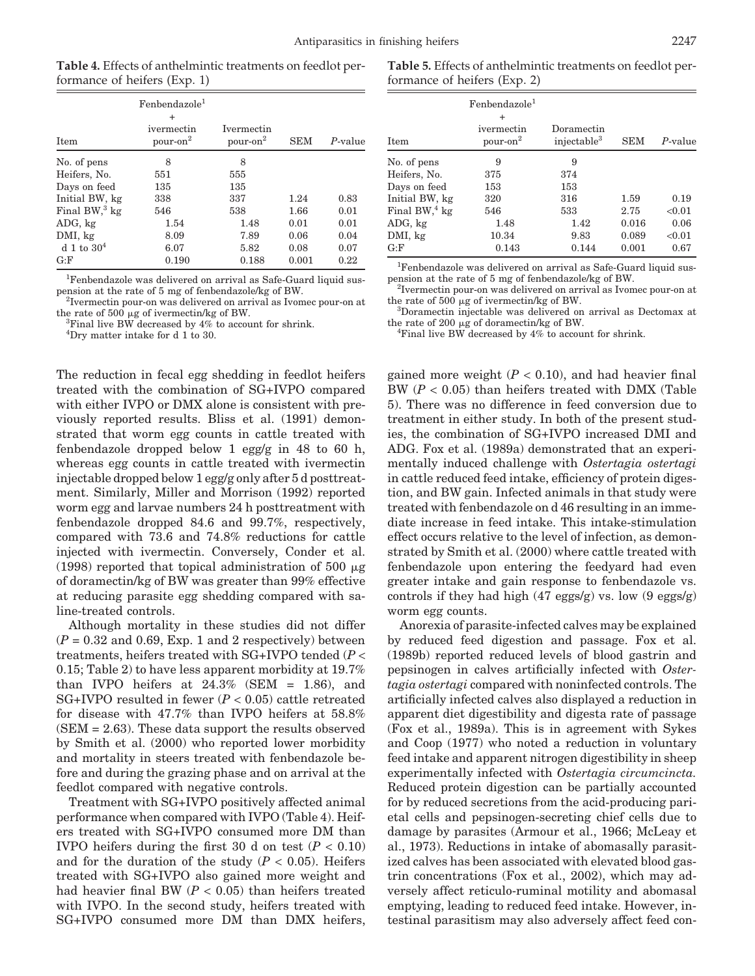**Table 4.** Effects of anthelmintic treatments on feedlot performance of heifers (Exp. 1)

| <b>Item</b>              | Fenbendazole <sup>1</sup><br>$\ddot{}$<br>ivermectin<br>pour-on <sup>2</sup> | <b>Ivermectin</b><br>pour-on <sup>2</sup> | SEM   | $P$ -value |
|--------------------------|------------------------------------------------------------------------------|-------------------------------------------|-------|------------|
|                          |                                                                              |                                           |       |            |
| No. of pens              | 8                                                                            | 8                                         |       |            |
| Heifers, No.             | 551                                                                          | 555                                       |       |            |
| Days on feed             | 135                                                                          | 135                                       |       |            |
| Initial BW, kg           | 338                                                                          | 337                                       | 1.24  | 0.83       |
| Final BW, $3 \text{ kg}$ | 546                                                                          | 538                                       | 1.66  | 0.01       |
| ADG, kg                  | 1.54                                                                         | 1.48                                      | 0.01  | 0.01       |
| DMI, kg                  | 8.09                                                                         | 7.89                                      | 0.06  | 0.04       |
| d 1 to $30^4$            | 6.07                                                                         | 5.82                                      | 0.08  | 0.07       |
| G: F                     | 0.190                                                                        | 0.188                                     | 0.001 | 0.22       |

<sup>1</sup>Fenbendazole was delivered on arrival as Safe-Guard liquid suspension at the rate of 5 mg of fenbendazole/kg of BW. <sup>2</sup>

<sup>2</sup>Ivermectin pour-on was delivered on arrival as Ivomec pour-on at

the rate of 500  $\mu$ g of ivermectin/kg of BW.<br><sup>3</sup>Final live BW decreased by 4% to account for shrink.

4 Dry matter intake for d 1 to 30.

The reduction in fecal egg shedding in feedlot heifers treated with the combination of SG+IVPO compared with either IVPO or DMX alone is consistent with previously reported results. Bliss et al. (1991) demonstrated that worm egg counts in cattle treated with fenbendazole dropped below 1 egg/g in 48 to 60 h, whereas egg counts in cattle treated with ivermectin injectable dropped below 1 egg/g only after 5 d posttreatment. Similarly, Miller and Morrison (1992) reported worm egg and larvae numbers 24 h posttreatment with fenbendazole dropped 84.6 and 99.7%, respectively, compared with 73.6 and 74.8% reductions for cattle injected with ivermectin. Conversely, Conder et al. (1998) reported that topical administration of 500  $\mu$ g of doramectin/kg of BW was greater than 99% effective at reducing parasite egg shedding compared with saline-treated controls.

Although mortality in these studies did not differ  $(P = 0.32$  and 0.69, Exp. 1 and 2 respectively) between treatments, heifers treated with SG+IVPO tended (*P* < 0.15; Table 2) to have less apparent morbidity at 19.7% than IVPO heifers at  $24.3\%$  (SEM = 1.86), and SG+IVPO resulted in fewer (*P* < 0.05) cattle retreated for disease with 47.7% than IVPO heifers at 58.8%  $(SEM = 2.63)$ . These data support the results observed by Smith et al. (2000) who reported lower morbidity and mortality in steers treated with fenbendazole before and during the grazing phase and on arrival at the feedlot compared with negative controls.

Treatment with SG+IVPO positively affected animal performance when compared with IVPO (Table 4). Heifers treated with SG+IVPO consumed more DM than IVPO heifers during the first 30 d on test  $(P < 0.10)$ and for the duration of the study  $(P < 0.05)$ . Heifers treated with SG+IVPO also gained more weight and had heavier final BW  $(P < 0.05)$  than heifers treated with IVPO. In the second study, heifers treated with SG+IVPO consumed more DM than DMX heifers,

**Table 5.** Effects of anthelmintic treatments on feedlot performance of heifers (Exp. 2)

|                          | Fenbendazole <sup>1</sup><br>$\ddot{}$ |                                       |            |            |
|--------------------------|----------------------------------------|---------------------------------------|------------|------------|
| Item                     | ivermectin<br>pour-on <sup>2</sup>     | Doramectin<br>injectable <sup>3</sup> | <b>SEM</b> | $P$ -value |
| No. of pens              | 9                                      | 9                                     |            |            |
| Heifers, No.             | 375                                    | 374                                   |            |            |
| Days on feed             | 153                                    | 153                                   |            |            |
| Initial BW, kg           | 320                                    | 316                                   | 1.59       | 0.19       |
| Final BW, $4 \text{ kg}$ | 546                                    | 533                                   | 2.75       | < 0.01     |
| ADG, kg                  | 1.48                                   | 1.42                                  | 0.016      | 0.06       |
| DMI, kg                  | 10.34                                  | 9.83                                  | 0.089      | < 0.01     |
| G: F                     | 0.143                                  | 0.144                                 | 0.001      | 0.67       |

<sup>1</sup>Fenbendazole was delivered on arrival as Safe-Guard liquid suspension at the rate of 5 mg of fenbendazole/kg of BW. <sup>2</sup>

 ${}^{2}$ Ivermectin pour-on was delivered on arrival as Ivomec pour-on at the rate of 500  $\mu$ g of ivermectin/kg of BW.

Doramectin injectable was delivered on arrival as Dectomax at the rate of 200  $\mu$ g of doramectin/kg of BW.

Final live BW decreased by 4% to account for shrink.

gained more weight  $(P < 0.10)$ , and had heavier final BW (*P* < 0.05) than heifers treated with DMX (Table 5). There was no difference in feed conversion due to treatment in either study. In both of the present studies, the combination of SG+IVPO increased DMI and ADG. Fox et al. (1989a) demonstrated that an experimentally induced challenge with *Ostertagia ostertagi* in cattle reduced feed intake, efficiency of protein digestion, and BW gain. Infected animals in that study were treated with fenbendazole on d 46 resulting in an immediate increase in feed intake. This intake-stimulation effect occurs relative to the level of infection, as demonstrated by Smith et al. (2000) where cattle treated with fenbendazole upon entering the feedyard had even greater intake and gain response to fenbendazole vs. controls if they had high (47 eggs/g) vs. low (9 eggs/g) worm egg counts.

Anorexia of parasite-infected calves may be explained by reduced feed digestion and passage. Fox et al. (1989b) reported reduced levels of blood gastrin and pepsinogen in calves artificially infected with *Ostertagia ostertagi* compared with noninfected controls. The artificially infected calves also displayed a reduction in apparent diet digestibility and digesta rate of passage (Fox et al., 1989a). This is in agreement with Sykes and Coop (1977) who noted a reduction in voluntary feed intake and apparent nitrogen digestibility in sheep experimentally infected with *Ostertagia circumcincta.* Reduced protein digestion can be partially accounted for by reduced secretions from the acid-producing parietal cells and pepsinogen-secreting chief cells due to damage by parasites (Armour et al., 1966; McLeay et al., 1973). Reductions in intake of abomasally parasitized calves has been associated with elevated blood gastrin concentrations (Fox et al., 2002), which may adversely affect reticulo-ruminal motility and abomasal emptying, leading to reduced feed intake. However, intestinal parasitism may also adversely affect feed con-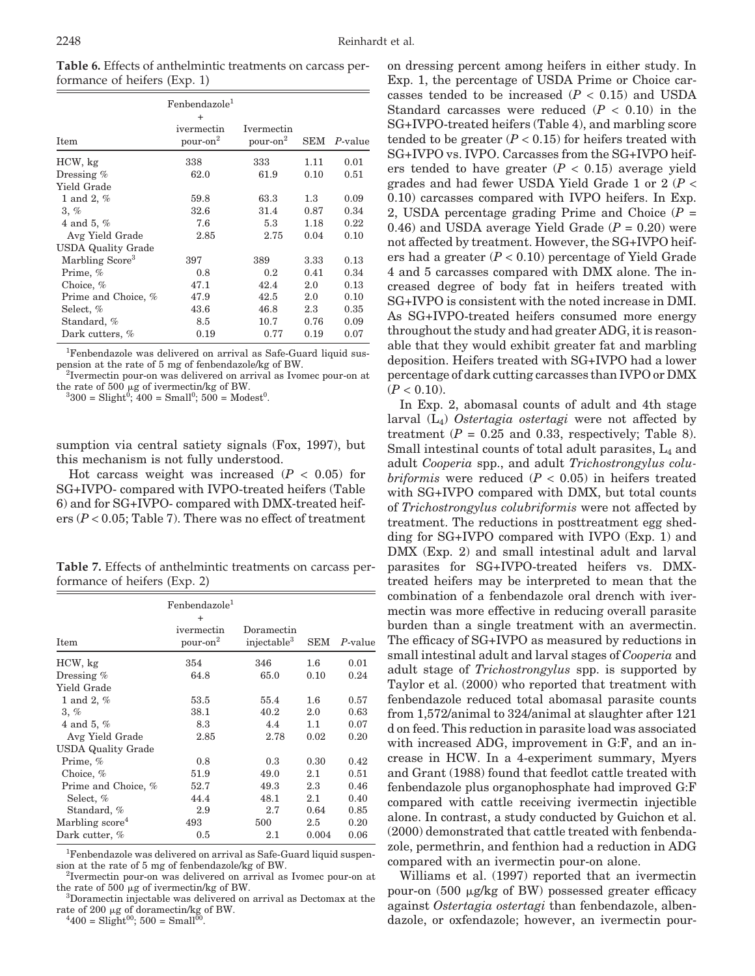| Table 6. Effects of anthelmintic treatments on carcass per- |  |
|-------------------------------------------------------------|--|
| formance of heifers (Exp. 1)                                |  |

| <b>Item</b>                 | Fenbendazole <sup>1</sup><br>$\ddot{}$<br>ivermectin<br>pour-on <sup>2</sup> | Ivermectin<br>pour-on <sup>2</sup> |      | SEM P-value |
|-----------------------------|------------------------------------------------------------------------------|------------------------------------|------|-------------|
| HCW, kg                     | 338                                                                          | 333                                | 1.11 | 0.01        |
| Dressing $%$                | 62.0                                                                         | 61.9                               | 0.10 | 0.51        |
| Yield Grade                 |                                                                              |                                    |      |             |
| 1 and 2, $%$                | 59.8                                                                         | 63.3                               | 1.3  | 0.09        |
| 3, %                        | 32.6                                                                         | 31.4                               | 0.87 | 0.34        |
| 4 and 5, $%$                | 7.6                                                                          | 5.3                                | 1.18 | 0.22        |
| Avg Yield Grade             | 2.85                                                                         | 2.75                               | 0.04 | 0.10        |
| <b>USDA Quality Grade</b>   |                                                                              |                                    |      |             |
| Marbling Score <sup>3</sup> | 397                                                                          | 389                                | 3.33 | 0.13        |
| Prime, %                    | 0.8                                                                          | 0.2                                | 0.41 | 0.34        |
| Choice, $%$                 | 47.1                                                                         | 42.4                               | 2.0  | 0.13        |
| Prime and Choice, %         | 47.9                                                                         | 42.5                               | 2.0  | 0.10        |
| Select, %                   | 43.6                                                                         | 46.8                               | 2.3  | 0.35        |
| Standard, %                 | 8.5                                                                          | 10.7                               | 0.76 | 0.09        |
| Dark cutters, %             | 0.19                                                                         | 0.77                               | 0.19 | 0.07        |

<sup>1</sup>Fenbendazole was delivered on arrival as Safe-Guard liquid suspension at the rate of 5 mg of fenbendazole/kg of BW. <sup>2</sup>

 $\rm z$ Ivermectin pour-on was delivered on arrival as Ivomec pour-on at the rate of  $500 \mu g$  of ivermectin/kg of BW.

 $300 = \text{Slight}^{0}$ ;  $400 = \text{Small}^{0}$ ;  $500 = \text{Models}^{0}$ .

sumption via central satiety signals (Fox, 1997), but this mechanism is not fully understood.

Hot carcass weight was increased  $(P < 0.05)$  for SG+IVPO- compared with IVPO-treated heifers (Table 6) and for SG+IVPO- compared with DMX-treated heifers (*P* < 0.05; Table 7). There was no effect of treatment

**Table 7.** Effects of anthelmintic treatments on carcass performance of heifers (Exp. 2)

| <b>Item</b>                 | Fenbendazole <sup>1</sup><br>$\ddot{}$<br>ivermectin<br>pour-on <sup>2</sup> | Doramectin<br>injectable <sup>3</sup> | ${\rm SEM}$ | P-value |
|-----------------------------|------------------------------------------------------------------------------|---------------------------------------|-------------|---------|
| HCW, kg                     | 354                                                                          | 346                                   | $1.6\,$     | 0.01    |
| Dressing $%$                | 64.8                                                                         | 65.0                                  | 0.10        | 0.24    |
| Yield Grade                 |                                                                              |                                       |             |         |
| 1 and 2, $%$                | 53.5                                                                         | 55.4                                  | $1.6\,$     | 0.57    |
| 3, %                        | 38.1                                                                         | 40.2                                  | 2.0         | 0.63    |
| 4 and 5, $%$                | 8.3                                                                          | 4.4                                   | 1.1         | 0.07    |
| Avg Yield Grade             | 2.85                                                                         | 2.78                                  | 0.02        | 0.20    |
| <b>USDA Quality Grade</b>   |                                                                              |                                       |             |         |
| Prime, %                    | 0.8                                                                          | 0.3                                   | 0.30        | 0.42    |
| Choice, $%$                 | 51.9                                                                         | 49.0                                  | 2.1         | 0.51    |
| Prime and Choice, %         | 52.7                                                                         | 49.3                                  | 2.3         | 0.46    |
| Select, %                   | 44.4                                                                         | 48.1                                  | 2.1         | 0.40    |
| Standard, %                 | 2.9                                                                          | 2.7                                   | 0.64        | 0.85    |
| Marbling score <sup>4</sup> | 493                                                                          | 500                                   | 2.5         | 0.20    |
| Dark cutter, %              | 0.5                                                                          | 2.1                                   | 0.004       | 0.06    |

<sup>1</sup>Fenbendazole was delivered on arrival as Safe-Guard liquid suspension at the rate of 5 mg of fenbendazole/kg of BW. <sup>2</sup>

<sup>2</sup>Ivermectin pour-on was delivered on arrival as Ivomec pour-on at the rate of  $500 \mu g$  of ivermectin/kg of BW.

 ${}^{3}$ Doramectin injectable was delivered on arrival as Dectomax at the rate of 200  $\mu$ g of doramectin/kg of BW.

 $^{4}400 =$  Slight<sup>00</sup>; 500 = Small<sup>00</sup>

on dressing percent among heifers in either study. In Exp. 1, the percentage of USDA Prime or Choice carcasses tended to be increased  $(P < 0.15)$  and USDA Standard carcasses were reduced  $(P < 0.10)$  in the SG+IVPO-treated heifers (Table 4), and marbling score tended to be greater  $(P < 0.15)$  for heifers treated with SG+IVPO vs. IVPO. Carcasses from the SG+IVPO heifers tended to have greater  $(P < 0.15)$  average yield grades and had fewer USDA Yield Grade 1 or 2 (*P* < 0.10) carcasses compared with IVPO heifers. In Exp. 2, USDA percentage grading Prime and Choice (*P* = 0.46) and USDA average Yield Grade  $(P = 0.20)$  were not affected by treatment. However, the SG+IVPO heifers had a greater  $(P < 0.10)$  percentage of Yield Grade 4 and 5 carcasses compared with DMX alone. The increased degree of body fat in heifers treated with SG+IVPO is consistent with the noted increase in DMI. As SG+IVPO-treated heifers consumed more energy throughout the study and had greater ADG, it is reasonable that they would exhibit greater fat and marbling deposition. Heifers treated with SG+IVPO had a lower percentage of dark cutting carcasses than IVPO or DMX  $(P < 0.10)$ .

In Exp. 2, abomasal counts of adult and 4th stage larval (L4) *Ostertagia ostertagi* were not affected by treatment  $(P = 0.25$  and 0.33, respectively; Table 8). Small intestinal counts of total adult parasites,  $L_4$  and adult *Cooperia* spp., and adult *Trichostrongylus colubriformis* were reduced (*P* < 0.05) in heifers treated with SG+IVPO compared with DMX, but total counts of *Trichostrongylus colubriformis* were not affected by treatment. The reductions in posttreatment egg shedding for SG+IVPO compared with IVPO (Exp. 1) and DMX (Exp. 2) and small intestinal adult and larval parasites for SG+IVPO-treated heifers vs. DMXtreated heifers may be interpreted to mean that the combination of a fenbendazole oral drench with ivermectin was more effective in reducing overall parasite burden than a single treatment with an avermectin. The efficacy of SG+IVPO as measured by reductions in small intestinal adult and larval stages of *Cooperia* and adult stage of *Trichostrongylus* spp. is supported by Taylor et al. (2000) who reported that treatment with fenbendazole reduced total abomasal parasite counts from 1,572/animal to 324/animal at slaughter after 121 d on feed. This reduction in parasite load was associated with increased ADG, improvement in G:F, and an increase in HCW. In a 4-experiment summary, Myers and Grant (1988) found that feedlot cattle treated with fenbendazole plus organophosphate had improved G:F compared with cattle receiving ivermectin injectible alone. In contrast, a study conducted by Guichon et al. (2000) demonstrated that cattle treated with fenbendazole, permethrin, and fenthion had a reduction in ADG compared with an ivermectin pour-on alone.

Williams et al. (1997) reported that an ivermectin pour-on  $(500 \mu g/kg \text{ of BW})$  possessed greater efficacy against *Ostertagia ostertagi* than fenbendazole, albendazole, or oxfendazole; however, an ivermectin pour-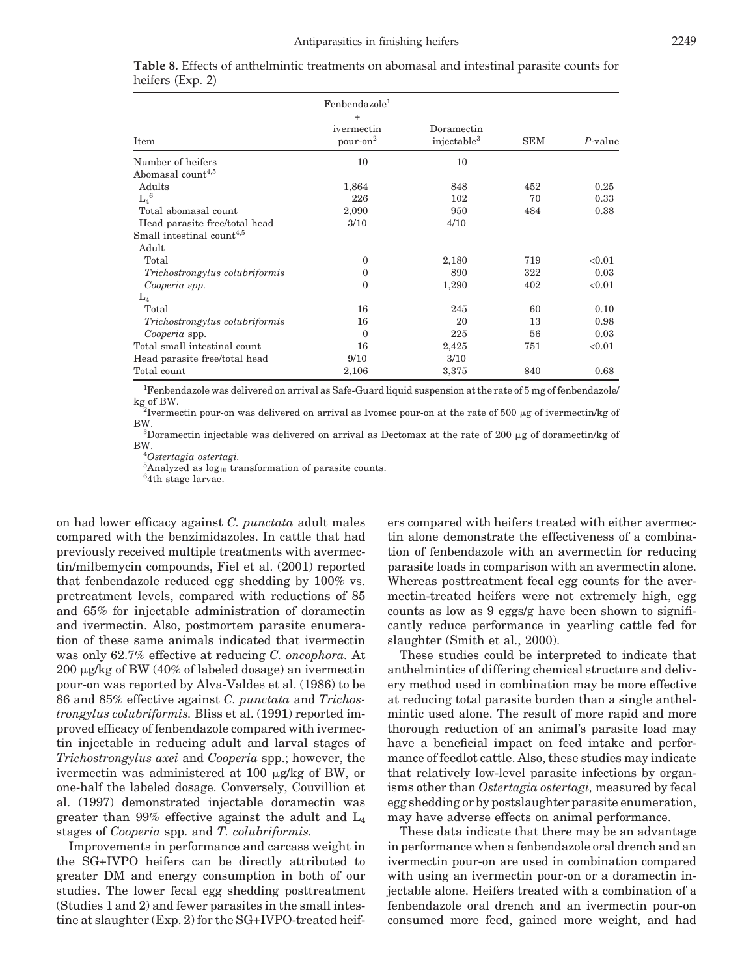|                                       | Fenbendazole <sup>1</sup><br>$+$   |                                       |            |         |
|---------------------------------------|------------------------------------|---------------------------------------|------------|---------|
| Item                                  | ivermectin<br>pour-on <sup>2</sup> | Doramectin<br>injectable <sup>3</sup> | <b>SEM</b> | P-value |
| Number of heifers                     | 10                                 | 10                                    |            |         |
| Abomasal count <sup>4,5</sup>         |                                    |                                       |            |         |
| Adults                                | 1,864                              | 848                                   | 452        | 0.25    |
| $L_4{}^6$                             | 226                                | 102                                   | 70         | 0.33    |
| Total abomasal count                  | 2,090                              | 950                                   | 484        | 0.38    |
| Head parasite free/total head         | 3/10                               | 4/10                                  |            |         |
| Small intestinal count <sup>4,5</sup> |                                    |                                       |            |         |
| Adult                                 |                                    |                                       |            |         |
| Total                                 | $\mathbf{0}$                       | 2,180                                 | 719        | < 0.01  |
| Trichostrongylus colubriformis        | $\Omega$                           | 890                                   | 322        | 0.03    |
| Cooperia spp.                         | $\Omega$                           | 1,290                                 | 402        | < 0.01  |
| $L_4$                                 |                                    |                                       |            |         |
| Total                                 | 16                                 | 245                                   | 60         | 0.10    |
| Trichostrongylus colubriformis        | 16                                 | 20                                    | 13         | 0.98    |
| Cooperia spp.                         | $\Omega$                           | 225                                   | 56         | 0.03    |
| Total small intestinal count          | 16                                 | 2,425                                 | 751        | < 0.01  |
| Head parasite free/total head         | 9/10                               | 3/10                                  |            |         |
| Total count                           | 2,106                              | 3,375                                 | 840        | 0.68    |

|                  | <b>Table 8.</b> Effects of anthelmintic treatments on abomasal and intestinal parasite counts for |  |  |  |  |
|------------------|---------------------------------------------------------------------------------------------------|--|--|--|--|
| heifers (Exp. 2) |                                                                                                   |  |  |  |  |

<sup>1</sup>Fenbendazole was delivered on arrival as Safe-Guard liquid suspension at the rate of 5 mg of fenbendazole/ kg of BW.

<sup>2</sup>Ivermectin pour-on was delivered on arrival as Ivomec pour-on at the rate of 500  $\mu$ g of ivermectin/kg of BW.

<sup>3</sup>Doramectin injectable was delivered on arrival as Dectomax at the rate of 200  $\mu$ g of doramectin/kg of BW.

*Ostertagia ostertagi.*

<sup>5</sup>Analyzed as  $log_{10}$  transformation of parasite counts.

<sup>6</sup>4th stage larvae.

on had lower efficacy against *C. punctata* adult males compared with the benzimidazoles. In cattle that had previously received multiple treatments with avermectin/milbemycin compounds, Fiel et al. (2001) reported that fenbendazole reduced egg shedding by 100% vs. pretreatment levels, compared with reductions of 85 and 65% for injectable administration of doramectin and ivermectin. Also, postmortem parasite enumeration of these same animals indicated that ivermectin was only 62.7% effective at reducing *C. oncophora.* At  $200 \mu$ g/kg of BW (40% of labeled dosage) an ivermectin pour-on was reported by Alva-Valdes et al. (1986) to be 86 and 85% effective against *C. punctata* and *Trichostrongylus colubriformis.* Bliss et al. (1991) reported improved efficacy of fenbendazole compared with ivermectin injectable in reducing adult and larval stages of *Trichostrongylus axei* and *Cooperia* spp.; however, the ivermectin was administered at 100  $\mu$ g/kg of BW, or one-half the labeled dosage. Conversely, Couvillion et al. (1997) demonstrated injectable doramectin was greater than 99% effective against the adult and  $L_4$ stages of *Cooperia* spp. and *T. colubriformis.*

Improvements in performance and carcass weight in the SG+IVPO heifers can be directly attributed to greater DM and energy consumption in both of our studies. The lower fecal egg shedding posttreatment (Studies 1 and 2) and fewer parasites in the small intestine at slaughter (Exp. 2) for the SG+IVPO-treated heifers compared with heifers treated with either avermectin alone demonstrate the effectiveness of a combination of fenbendazole with an avermectin for reducing parasite loads in comparison with an avermectin alone. Whereas posttreatment fecal egg counts for the avermectin-treated heifers were not extremely high, egg counts as low as 9 eggs/g have been shown to significantly reduce performance in yearling cattle fed for slaughter (Smith et al., 2000).

These studies could be interpreted to indicate that anthelmintics of differing chemical structure and delivery method used in combination may be more effective at reducing total parasite burden than a single anthelmintic used alone. The result of more rapid and more thorough reduction of an animal's parasite load may have a beneficial impact on feed intake and performance of feedlot cattle. Also, these studies may indicate that relatively low-level parasite infections by organisms other than *Ostertagia ostertagi,* measured by fecal egg shedding or by postslaughter parasite enumeration, may have adverse effects on animal performance.

These data indicate that there may be an advantage in performance when a fenbendazole oral drench and an ivermectin pour-on are used in combination compared with using an ivermectin pour-on or a doramectin injectable alone. Heifers treated with a combination of a fenbendazole oral drench and an ivermectin pour-on consumed more feed, gained more weight, and had